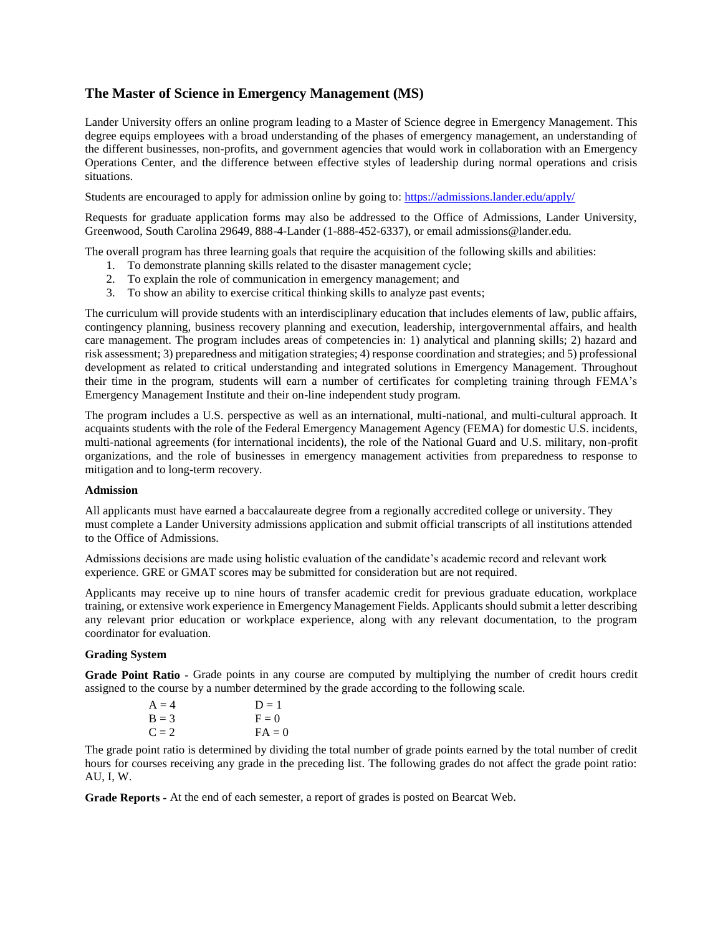# **The Master of Science in Emergency Management (MS)**

Lander University offers an online program leading to a Master of Science degree in Emergency Management. This degree equips employees with a broad understanding of the phases of emergency management, an understanding of the different businesses, non-profits, and government agencies that would work in collaboration with an Emergency Operations Center, and the difference between effective styles of leadership during normal operations and crisis situations.

Students are encouraged to apply for admission online by going to: <https://admissions.lander.edu/apply/>

Requests for graduate application forms may also be addressed to the Office of Admissions, Lander University, Greenwood, South Carolina 29649, 888-4-Lander (1-888-452-6337), or email admissions@lander.edu.

The overall program has three learning goals that require the acquisition of the following skills and abilities:

- 1. To demonstrate planning skills related to the disaster management cycle;
- 2. To explain the role of communication in emergency management; and
- 3. To show an ability to exercise critical thinking skills to analyze past events;

The curriculum will provide students with an interdisciplinary education that includes elements of law, public affairs, contingency planning, business recovery planning and execution, leadership, intergovernmental affairs, and health care management. The program includes areas of competencies in: 1) analytical and planning skills; 2) hazard and risk assessment; 3) preparedness and mitigation strategies; 4) response coordination and strategies; and 5) professional development as related to critical understanding and integrated solutions in Emergency Management. Throughout their time in the program, students will earn a number of certificates for completing training through FEMA's Emergency Management Institute and their on-line independent study program.

The program includes a U.S. perspective as well as an international, multi-national, and multi-cultural approach. It acquaints students with the role of the Federal Emergency Management Agency (FEMA) for domestic U.S. incidents, multi-national agreements (for international incidents), the role of the National Guard and U.S. military, non-profit organizations, and the role of businesses in emergency management activities from preparedness to response to mitigation and to long-term recovery.

#### **Admission**

All applicants must have earned a baccalaureate degree from a regionally accredited college or university. They must complete a Lander University admissions application and submit official transcripts of all institutions attended to the Office of Admissions.

Admissions decisions are made using holistic evaluation of the candidate's academic record and relevant work experience. GRE or GMAT scores may be submitted for consideration but are not required.

Applicants may receive up to nine hours of transfer academic credit for previous graduate education, workplace training, or extensive work experience in Emergency Management Fields. Applicants should submit a letter describing any relevant prior education or workplace experience, along with any relevant documentation, to the program coordinator for evaluation.

#### **Grading System**

**Grade Point Ratio -** Grade points in any course are computed by multiplying the number of credit hours credit assigned to the course by a number determined by the grade according to the following scale.

| $A = 4$ | $D=1$    |
|---------|----------|
| $B = 3$ | $F = 0$  |
| $C = 2$ | $FA = 0$ |

The grade point ratio is determined by dividing the total number of grade points earned by the total number of credit hours for courses receiving any grade in the preceding list. The following grades do not affect the grade point ratio: AU, I, W.

**Grade Reports -** At the end of each semester, a report of grades is posted on Bearcat Web.